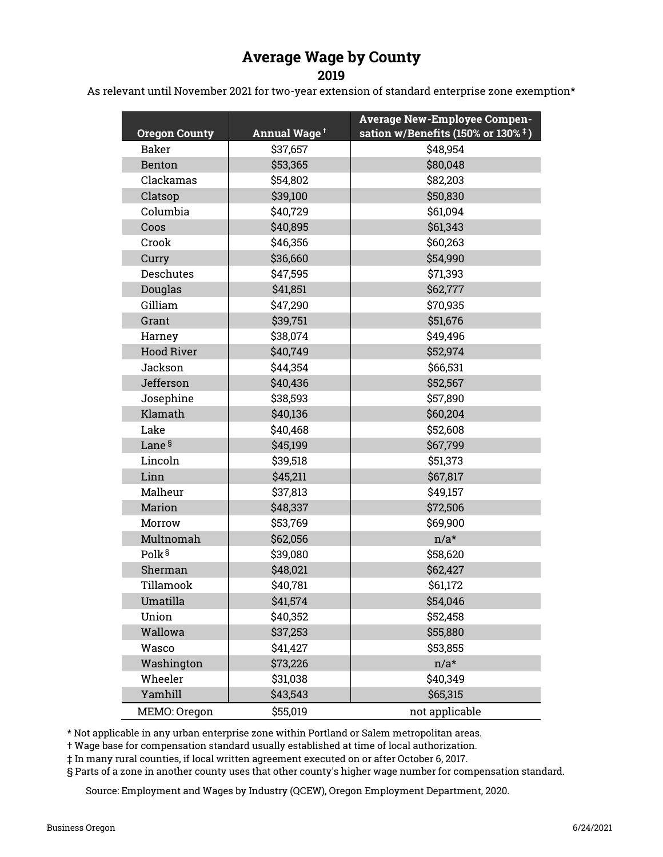## Average Wage by County

2019

As relevant until November 2021 for two-year extension of standard enterprise zone exemption\*

| <b>Oregon County</b> | Annual Wage <sup>+</sup> | <b>Average New-Employee Compen-</b><br>sation w/Benefits (150% or 130% $\pm$ ) |  |  |  |  |
|----------------------|--------------------------|--------------------------------------------------------------------------------|--|--|--|--|
| Baker                | \$37,657                 | \$48,954                                                                       |  |  |  |  |
| Benton               | \$53,365                 | \$80,048                                                                       |  |  |  |  |
| Clackamas            | \$54,802                 | \$82,203                                                                       |  |  |  |  |
| Clatsop              | \$39,100                 | \$50,830                                                                       |  |  |  |  |
| Columbia             | \$40,729                 | \$61,094                                                                       |  |  |  |  |
| Coos                 | \$40,895                 | \$61,343                                                                       |  |  |  |  |
| Crook                | \$46,356                 | \$60,263                                                                       |  |  |  |  |
| Curry                | \$36,660                 | \$54,990                                                                       |  |  |  |  |
| <b>Deschutes</b>     | \$47,595                 | \$71,393                                                                       |  |  |  |  |
| Douglas              | \$41,851                 | \$62,777                                                                       |  |  |  |  |
| Gilliam              | \$47,290                 | \$70,935                                                                       |  |  |  |  |
| Grant                | \$39,751                 | \$51,676                                                                       |  |  |  |  |
| Harney               | \$38,074                 | \$49,496                                                                       |  |  |  |  |
| <b>Hood River</b>    | \$40,749                 | \$52,974                                                                       |  |  |  |  |
| Jackson              | \$44,354                 | \$66,531                                                                       |  |  |  |  |
| Jefferson            | \$40,436                 | \$52,567                                                                       |  |  |  |  |
| Josephine            | \$38,593                 | \$57,890                                                                       |  |  |  |  |
| Klamath              | \$40,136                 | \$60,204                                                                       |  |  |  |  |
| Lake                 | \$40,468                 | \$52,608                                                                       |  |  |  |  |
| Lane <sup>§</sup>    | \$45,199                 | \$67,799                                                                       |  |  |  |  |
| Lincoln              | \$39,518                 | \$51,373                                                                       |  |  |  |  |
| Linn                 | \$45,211                 | \$67,817                                                                       |  |  |  |  |
| Malheur              | \$37,813                 | \$49,157                                                                       |  |  |  |  |
| Marion               | \$48,337                 | \$72,506                                                                       |  |  |  |  |
| Morrow               | \$53,769                 | \$69,900                                                                       |  |  |  |  |
| Multnomah            | \$62,056                 | $n/a*$                                                                         |  |  |  |  |
| Polk <sup>§</sup>    | \$39,080                 | \$58,620                                                                       |  |  |  |  |
| Sherman              | \$48,021                 | \$62,427                                                                       |  |  |  |  |
| Tillamook            | \$40,781                 | \$61,172                                                                       |  |  |  |  |
| Umatilla             | \$41,574                 | \$54,046                                                                       |  |  |  |  |
| Union                | \$40,352                 | \$52,458                                                                       |  |  |  |  |
| Wallowa              | \$37,253                 | \$55,880                                                                       |  |  |  |  |
| Wasco                | \$41,427                 | \$53,855                                                                       |  |  |  |  |
| Washington           | \$73,226                 | $n/a*$                                                                         |  |  |  |  |
| Wheeler              | \$31,038                 | \$40,349                                                                       |  |  |  |  |
| Yamhill              | \$43,543                 | \$65,315                                                                       |  |  |  |  |
| MEMO: Oregon         | \$55,019                 | not applicable                                                                 |  |  |  |  |

\* Not applicable in any urban enterprise zone within Portland or Salem metropolitan areas.

† Wage base for compensation standard usually established at time of local authorization.

‡ In many rural counties, if local written agreement executed on or after October 6, 2017.

§ Parts of a zone in another county uses that other county's higher wage number for compensation standard.

Source: Employment and Wages by Industry (QCEW), Oregon Employment Department, 2020.